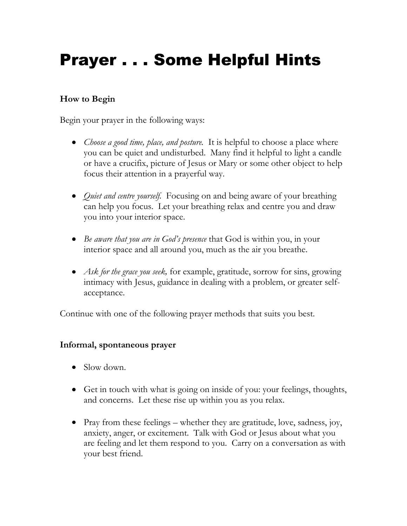# Prayer . . . Some Helpful Hints

#### **How to Begin**

Begin your prayer in the following ways:

- *Choose a good time, place, and posture.* It is helpful to choose a place where you can be quiet and undisturbed. Many find it helpful to light a candle or have a crucifix, picture of Jesus or Mary or some other object to help focus their attention in a prayerful way.
- *Quiet and centre yourself.* Focusing on and being aware of your breathing can help you focus. Let your breathing relax and centre you and draw you into your interior space.
- *Be aware that you are in God's presence* that God is within you, in your interior space and all around you, much as the air you breathe.
- *Ask for the grace you seek,* for example, gratitude, sorrow for sins, growing intimacy with Jesus, guidance in dealing with a problem, or greater selfacceptance.

Continue with one of the following prayer methods that suits you best.

#### **Informal, spontaneous prayer**

- Slow down.
- Get in touch with what is going on inside of you: your feelings, thoughts, and concerns. Let these rise up within you as you relax.
- Pray from these feelings whether they are gratitude, love, sadness, joy, anxiety, anger, or excitement. Talk with God or Jesus about what you are feeling and let them respond to you. Carry on a conversation as with your best friend.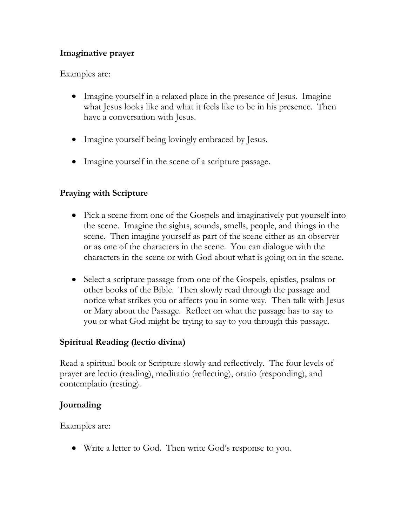## **Imaginative prayer**

Examples are:

- Imagine yourself in a relaxed place in the presence of Jesus. Imagine what Jesus looks like and what it feels like to be in his presence. Then have a conversation with Jesus.
- Imagine yourself being lovingly embraced by Jesus.
- Imagine yourself in the scene of a scripture passage.

## **Praying with Scripture**

- Pick a scene from one of the Gospels and imaginatively put yourself into the scene. Imagine the sights, sounds, smells, people, and things in the scene. Then imagine yourself as part of the scene either as an observer or as one of the characters in the scene. You can dialogue with the characters in the scene or with God about what is going on in the scene.
- Select a scripture passage from one of the Gospels, epistles, psalms or other books of the Bible. Then slowly read through the passage and notice what strikes you or affects you in some way. Then talk with Jesus or Mary about the Passage. Reflect on what the passage has to say to you or what God might be trying to say to you through this passage.

## **Spiritual Reading (lectio divina)**

Read a spiritual book or Scripture slowly and reflectively. The four levels of prayer are lectio (reading), meditatio (reflecting), oratio (responding), and contemplatio (resting).

## **Journaling**

Examples are:

Write a letter to God. Then write God's response to you.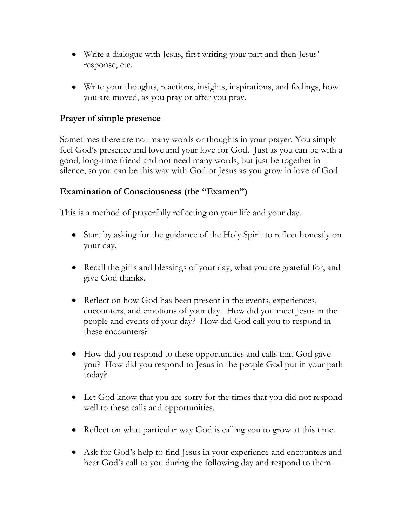- Write a dialogue with Jesus, first writing your part and then Jesus' response, etc.
- Write your thoughts, reactions, insights, inspirations, and feelings, how you are moved, as you pray or after you pray.

#### **Prayer of simple presence**

Sometimes there are not many words or thoughts in your prayer. You simply feel God's presence and love and your love for God. Just as you can be with a good, long-time friend and not need many words, but just be together in silence, so you can be this way with God or Jesus as you grow in love of God.

#### **Examination of Consciousness (the "Examen")**

This is a method of prayerfully reflecting on your life and your day.

- Start by asking for the guidance of the Holy Spirit to reflect honestly on your day.
- Recall the gifts and blessings of your day, what you are grateful for, and give God thanks.
- Reflect on how God has been present in the events, experiences, encounters, and emotions of your day. How did you meet Jesus in the people and events of your day? How did God call you to respond in these encounters?
- How did you respond to these opportunities and calls that God gave you? How did you respond to Jesus in the people God put in your path today?
- Let God know that you are sorry for the times that you did not respond well to these calls and opportunities.
- Reflect on what particular way God is calling you to grow at this time.
- Ask for God's help to find Jesus in your experience and encounters and hear God's call to you during the following day and respond to them.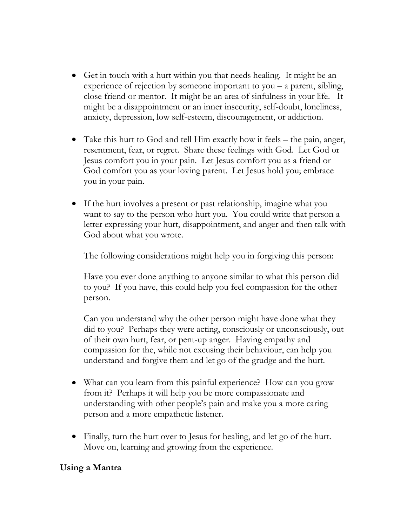- Get in touch with a hurt within you that needs healing. It might be an experience of rejection by someone important to you – a parent, sibling, close friend or mentor. It might be an area of sinfulness in your life. It might be a disappointment or an inner insecurity, self-doubt, loneliness, anxiety, depression, low self-esteem, discouragement, or addiction.
- Take this hurt to God and tell Him exactly how it feels the pain, anger, resentment, fear, or regret. Share these feelings with God. Let God or Jesus comfort you in your pain. Let Jesus comfort you as a friend or God comfort you as your loving parent. Let Jesus hold you; embrace you in your pain.
- If the hurt involves a present or past relationship, imagine what you want to say to the person who hurt you. You could write that person a letter expressing your hurt, disappointment, and anger and then talk with God about what you wrote.

The following considerations might help you in forgiving this person:

Have you ever done anything to anyone similar to what this person did to you? If you have, this could help you feel compassion for the other person.

Can you understand why the other person might have done what they did to you? Perhaps they were acting, consciously or unconsciously, out of their own hurt, fear, or pent-up anger. Having empathy and compassion for the, while not excusing their behaviour, can help you understand and forgive them and let go of the grudge and the hurt.

- What can you learn from this painful experience? How can you grow from it? Perhaps it will help you be more compassionate and understanding with other people's pain and make you a more caring person and a more empathetic listener.
- Finally, turn the hurt over to Jesus for healing, and let go of the hurt. Move on, learning and growing from the experience.

#### **Using a Mantra**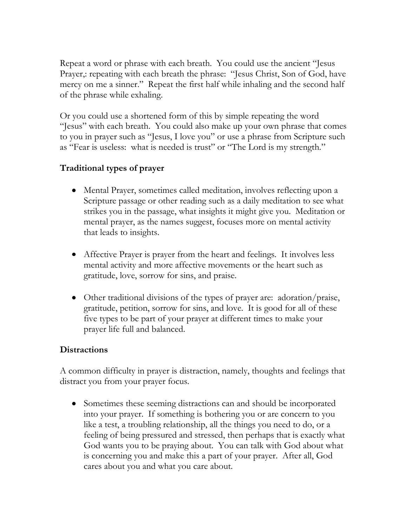Repeat a word or phrase with each breath. You could use the ancient "Jesus Prayer,: repeating with each breath the phrase: "Jesus Christ, Son of God, have mercy on me a sinner." Repeat the first half while inhaling and the second half of the phrase while exhaling.

Or you could use a shortened form of this by simple repeating the word "Jesus" with each breath. You could also make up your own phrase that comes to you in prayer such as "Jesus, I love you" or use a phrase from Scripture such as "Fear is useless: what is needed is trust" or "The Lord is my strength."

#### **Traditional types of prayer**

- Mental Prayer, sometimes called meditation, involves reflecting upon a Scripture passage or other reading such as a daily meditation to see what strikes you in the passage, what insights it might give you. Meditation or mental prayer, as the names suggest, focuses more on mental activity that leads to insights.
- Affective Prayer is prayer from the heart and feelings. It involves less mental activity and more affective movements or the heart such as gratitude, love, sorrow for sins, and praise.
- Other traditional divisions of the types of prayer are: adoration/praise, gratitude, petition, sorrow for sins, and love. It is good for all of these five types to be part of your prayer at different times to make your prayer life full and balanced.

### **Distractions**

A common difficulty in prayer is distraction, namely, thoughts and feelings that distract you from your prayer focus.

• Sometimes these seeming distractions can and should be incorporated into your prayer. If something is bothering you or are concern to you like a test, a troubling relationship, all the things you need to do, or a feeling of being pressured and stressed, then perhaps that is exactly what God wants you to be praying about. You can talk with God about what is concerning you and make this a part of your prayer. After all, God cares about you and what you care about.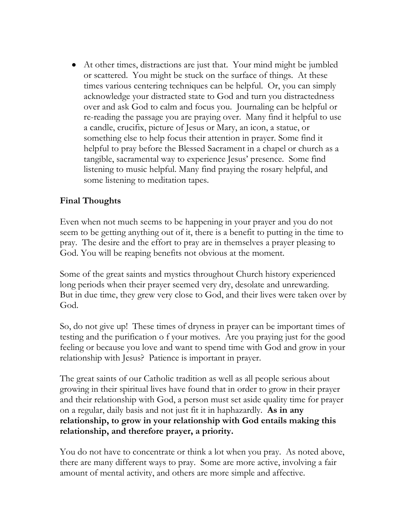At other times, distractions are just that. Your mind might be jumbled or scattered. You might be stuck on the surface of things. At these times various centering techniques can be helpful. Or, you can simply acknowledge your distracted state to God and turn you distractedness over and ask God to calm and focus you. Journaling can be helpful or re-reading the passage you are praying over. Many find it helpful to use a candle, crucifix, picture of Jesus or Mary, an icon, a statue, or something else to help focus their attention in prayer. Some find it helpful to pray before the Blessed Sacrament in a chapel or church as a tangible, sacramental way to experience Jesus' presence. Some find listening to music helpful. Many find praying the rosary helpful, and some listening to meditation tapes.

## **Final Thoughts**

Even when not much seems to be happening in your prayer and you do not seem to be getting anything out of it, there is a benefit to putting in the time to pray. The desire and the effort to pray are in themselves a prayer pleasing to God. You will be reaping benefits not obvious at the moment.

Some of the great saints and mystics throughout Church history experienced long periods when their prayer seemed very dry, desolate and unrewarding. But in due time, they grew very close to God, and their lives were taken over by God.

So, do not give up! These times of dryness in prayer can be important times of testing and the purification o f your motives. Are you praying just for the good feeling or because you love and want to spend time with God and grow in your relationship with Jesus? Patience is important in prayer.

The great saints of our Catholic tradition as well as all people serious about growing in their spiritual lives have found that in order to grow in their prayer and their relationship with God, a person must set aside quality time for prayer on a regular, daily basis and not just fit it in haphazardly. **As in any relationship, to grow in your relationship with God entails making this relationship, and therefore prayer, a priority.**

You do not have to concentrate or think a lot when you pray. As noted above, there are many different ways to pray. Some are more active, involving a fair amount of mental activity, and others are more simple and affective.